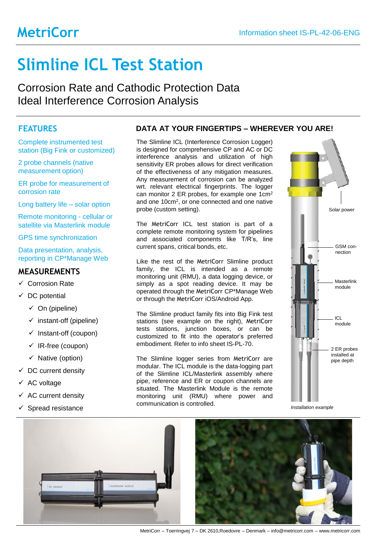# **Slimline ICL Test Station**

Corrosion Rate and Cathodic Protection Data Ideal Interference Corrosion Analysis

### **FEATURES**

Complete instrumented test station (Big Fink or customized)

2 probe channels (native measurement option)

ER probe for measurement of corrosion rate

Long battery life – solar option

Remote monitoring - cellular or satellite via Masterlink module

GPS time synchronization

Data presentation, analysis, reporting in CP\*Manage Web

#### **MEASUREMENTS**

- ✓ Corrosion Rate
- ✓ DC potential
	- $\checkmark$  On (pipeline)
	- $\checkmark$  instant-off (pipeline)
	- ✓ Instant-off (coupon)
	- $\checkmark$  IR-free (coupon)
	- ✓ Native (option)
- $\checkmark$  DC current density
- $\checkmark$  AC voltage
- $\checkmark$  AC current density
- Spread resistance

#### **DATA AT YOUR FINGERTIPS – WHEREVER YOU ARE!**

The Slimline ICL (Interference Corrosion Logger) is designed for comprehensive CP and AC or DC interference analysis and utilization of high sensitivity ER probes allows for direct verification of the effectiveness of any mitigation measures. Any measurement of corrosion can be analyzed wrt. relevant electrical fingerprints. The logger can monitor 2 ER probes, for example one 1cm<sup>2</sup> and one 10cm<sup>2</sup> , or one connected and one native probe (custom setting).

The MetriCorr ICL test station is part of a complete remote monitoring system for pipelines and associated components like T/R's, line current spans, critical bonds, etc.

Like the rest of the MetriCorr Slimline product family, the ICL is intended as a remote monitoring unit (RMU), a data logging device, or simply as a spot reading device. It may be operated through the MetriCorr CP\*Manage Web or through the MetriCorr iOS/Android App.

The Slimline product family fits into Big Fink test stations (see example on the right), MetriCorr tests stations, junction boxes, or can be customized to fit into the operator's preferred embodiment. Refer to info sheet IS-PL-70.

The Slimline logger series from MetriCorr are modular. The ICL module is the data-logging part of the Slimline ICL/Masterlink assembly where pipe, reference and ER or coupon channels are situated. The Masterlink Module is the remote monitoring unit (RMU) where power and communication is controlled.



*Installation example*